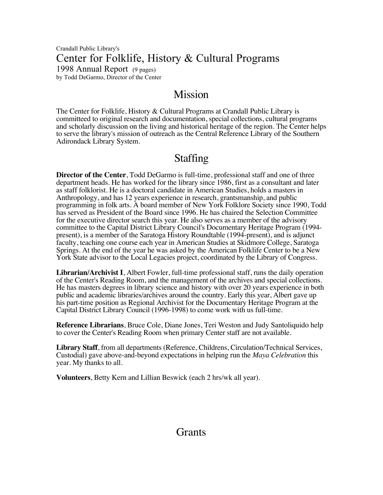Crandall Public Library's Center for Folklife, History & Cultural Programs 1998 Annual Report (9 pages) by Todd DeGarmo, Director of the Center

## Mission

The Center for Folklife, History & Cultural Programs at Crandall Public Library is committeed to original research and documentation, special collections, cultural programs and scholarly discussion on the living and historical heritage of the region. The Center helps to serve the library's mission of outreach as the Central Reference Library of the Southern Adirondack Library System.

# Staffing

**Director of the Center**, Todd DeGarmo is full-time, professional staff and one of three department heads. He has worked for the library since 1986, first as a consultant and later as staff folklorist. He is a doctoral candidate in American Studies, holds a masters in Anthropology, and has 12 years experience in research, grantsmanship, and public programming in folk arts. A board member of New York Folklore Society since 1990, Todd has served as President of the Board since 1996. He has chaired the Selection Committee for the executive director search this year. He also serves as a member of the advisory committee to the Capital District Library Council's Documentary Heritage Program (1994 present), is a member of the Saratoga History Roundtable (1994-present), and is adjunct faculty, teaching one course each year in American Studies at Skidmore College, Saratoga Springs. At the end of the year he was asked by the American Folklife Center to be a New York State advisor to the Local Legacies project, coordinated by the Library of Congress.

**Librarian/Archivist I**, Albert Fowler, full-time professional staff, runs the daily operation of the Center's Reading Room, and the management of the archives and special collections. He has masters degrees in library science and history with over 20 years experience in both public and academic libraries/archives around the country. Early this year, Albert gave up his part-time position as Regional Archivist for the Documentary Heritage Program at the Capital District Library Council (1996-1998) to come work with us full-time.

**Reference Librarians**, Bruce Cole, Diane Jones, Teri Weston and Judy Santoliquido help to cover the Center's Reading Room when primary Center staff are not available.

**Library Staff**, from all departments (Reference, Childrens, Circulation/Technical Services, Custodial) gave above-and-beyond expectations in helping run the *Maya Celebration* this year. My thanks to all.

**Volunteers**, Betty Kern and Lillian Beswick (each 2 hrs/wk all year).

# **Grants**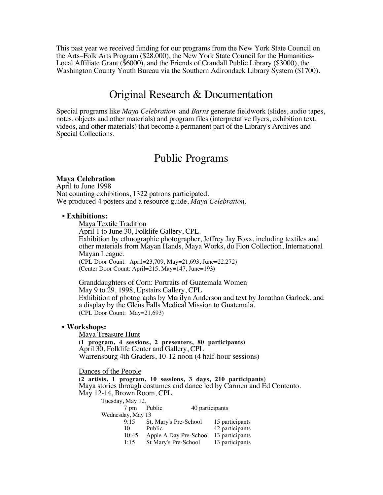This past year we received funding for our programs from the New York State Council on the Arts–Folk Arts Program (\$28,000), the New York State Council for the Humanities-Local Affiliate Grant (\$6000), and the Friends of Crandall Public Library (\$3000), the Washington County Youth Bureau via the Southern Adirondack Library System (\$1700).

## Original Research & Documentation

Special programs like *Maya Celebration* and *Barns* generate fieldwork (slides, audio tapes, notes, objects and other materials) and program files (interpretative flyers, exhibition text, videos, and other materials) that become a permanent part of the Library's Archives and Special Collections.

## Public Programs

### **Maya Celebration**

April to June 1998 Not counting exhibitions, 1322 patrons participated. We produced 4 posters and a resource guide, *Maya Celebration*.

### • **Exhibitions:**

Maya Textile Tradition April 1 to June 30, Folklife Gallery, CPL. Exhibition by ethnographic photographer, Jeffrey Jay Foxx, including textiles and other materials from Mayan Hands, Maya Works, du Flon Collection, International Mayan League. (CPL Door Count: April=23,709, May=21,693, June=22,272) (Center Door Count: April=215, May=147, June=193)

Granddaughters of Corn: Portraits of Guatemala Women May 9 to 29, 1998, Upstairs Gallery, CPL Exhibition of photographs by Marilyn Anderson and text by Jonathan Garlock, and a display by the Glens Falls Medical Mission to Guatemala. (CPL Door Count: May=21,693)

### **• Workshops:**

Maya Treasure Hunt **(1 program, 4 sessions, 2 presenters, 80 participants)** April 30, Folklife Center and Gallery, CPL Warrensburg 4th Graders, 10-12 noon (4 half-hour sessions)

Dances of the People

**(2 artists, 1 program, 10 sessions, 3 days, 210 participants)** Maya stories through costumes and dance led by Carmen and Ed Contento. May 12-14, Brown Room, CPL.

| Tuesday, May 12,  |                        |                 |  |
|-------------------|------------------------|-----------------|--|
| $7 \text{ pm}$    | Public                 | 40 participants |  |
| Wednesday, May 13 |                        |                 |  |
| 9:15              | St. Mary's Pre-School  | 15 participants |  |
| 10                | Public                 | 42 participants |  |
| 10:45             | Apple A Day Pre-School | 13 participants |  |
| 1:15              | St Mary's Pre-School   | 13 participants |  |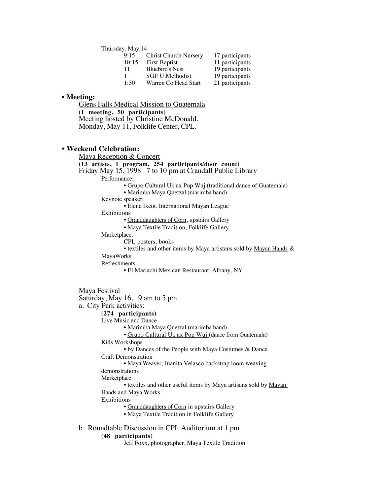Thursday, May 14

| 9:15  | <b>Christ Church Nursery</b> | 17 participants |  |
|-------|------------------------------|-----------------|--|
| 10:15 | <b>First Baptist</b>         | 11 participants |  |
| 11    | <b>Bluebird's Nest</b>       | 19 participants |  |
|       | SGF U.Methodist              | 19 participants |  |
| 1:30  | Warren Co Head Start         | 21 participants |  |

#### **• Meeting:**

Glens Falls Medical Mission to Guatemala **(1 meeting, 50 participants)** Meeting hosted by Christine McDonald. Monday, May 11, Folklife Center, CPL.

#### **• Weekend Celebration:**

Maya Reception & Concert

**(13 artists, 1 program, 254 participants/door count)**

### Friday May 15, 1998 7 to 10 pm at Crandall Public Library

Performance:

- Grupo Cultural Uk'ux Pop Wuj (traditional dance of Guatemala)
- Marimba Maya Quetzal (marimba band)

Keynote speaker:

• Elena Ixcot, International Mayan League

Exhibitions

• Granddaughters of Corn, upstairs Gallery

• Maya Textile Tradition, Folklife Gallery

Marketplace:

CPL posters, books

• textiles and other items by Maya artistans sold by Mayan Hands &

#### MayaWorks

Refreshments:

• El Mariachi Mexican Restaurant, Albany, NY

```
Maya Festival
```
Saturday, May 16, 9 am to 5 pm

a. City Park activities:

#### **(274 participants)**

Live Music and Dance

• Marimba Maya Quetzal (marimba band)

• Grupo Cultural Uk'ux Pop Wuj (dance from Guatemala)

Kids Workshops

• by Dances of the People with Maya Costumes & Dance Craft Demonstration

• Maya Weaver, Juanita Velasco backstrap loom weaving demonstrations

Marketplace

• textiles and other useful items by Maya artisans sold by Mayan Hands and Maya Works

Exhibitions

• Granddaughters of Corn in upstairs Gallery

• Maya Textile Tradition in Folklife Gallery

b. Roundtable Discussion in CPL Auditorium at 1 pm

#### **(48 participants)**

Jeff Foxx, photographer, Maya Textile Tradition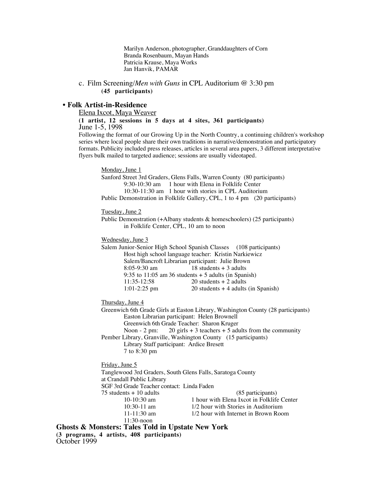Marilyn Anderson, photographer, Granddaughters of Corn Branda Rosenbaum, Mayan Hands Patricia Krause, Maya Works Jan Hanvik, PAMAR

c. Film Screening/*Men with Guns* in CPL Auditorium @ 3:30 pm **(45 participants)**

#### **• Folk Artist-in-Residence**

Elena Ixcot, Maya Weaver

**(1 artist, 12 sessions in 5 days at 4 sites, 361 participants)** June 1-5, 1998

Following the format of our Growing Up in the North Country, a continuing children's workshop series where local people share their own traditions in narrative/demonstration and participatory formats. Publicity included press releases, articles in several area papers, 3 different interpretative flyers bulk mailed to targeted audience; sessions are usually videotaped.

Monday, June 1

Sanford Street 3rd Graders, Glens Falls, Warren County (80 participants) 9:30-10:30 am 1 hour with Elena in Folklife Center 10:30-11:30 am 1 hour with stories in CPL Auditorium Public Demonstration in Folklife Gallery, CPL, 1 to 4 pm (20 participants)

Tuesday, June 2

Public Demonstration (+Albany students & homeschoolers) (25 participants) in Folklife Center, CPL, 10 am to noon

Wednesday, June 3

Salem Junior-Senior High School Spanish Classes (108 participants) Host high school language teacher: Kristin Narkiewicz Salem/Bancroft Librarian participant: Julie Brown  $18$  students + 3 adults 9:35 to  $11:05$  am 36 students  $+ 5$  adults (in Spanish)<br>11:35-12:58 20 students  $+ 2$  adults  $20$  students + 2 adults 1:01-2:25 pm  $20$  students + 4 adults (in Spanish)

Thursday, June 4

Greenwich 6th Grade Girls at Easton Library, Washington County (28 participants) Easton Librarian participant: Helen Brownell Greenwich 6th Grade Teacher: Sharon Kruger Noon - 2 pm: 20 girls + 3 teachers + 5 adults from the community Pember Library, Granville, Washington County (15 participants) Library Staff participant: Ardice Bresett

7 to 8:30 pm

Friday, June 5

Tanglewood 3rd Graders, South Glens Falls, Saratoga County at Crandall Public Library SGF 3rd Grade Teacher contact: Linda Faden 75 students + 10 adults (85 participants)<br>10-10:30 am 1 hour with Elena Ixcot in Folklife 10-10:30 am 1 hour with Elena Ixcot in Folklife Center<br>10:30-11 am 1/2 hour with Stories in Auditorium 10:30-11 am 1/2 hour with Stories in Auditorium<br>11-11:30 am 1/2 hour with Internet in Brown Roo 1/2 hour with Internet in Brown Room 11:30-noon

**Ghosts & Monsters: Tales Told in Upstate New York (3 programs, 4 artists, 408 participants)** October 1999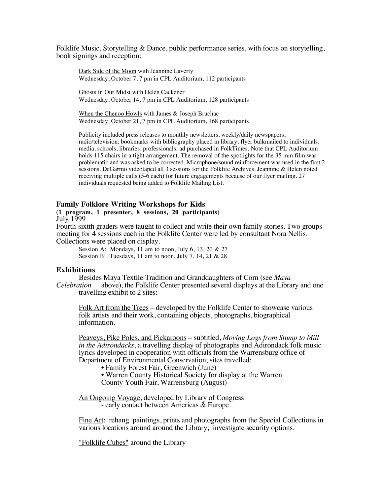Folklife Music, Storytelling & Dance, public performance series, with focus on storytelling, book signings and reception:

Dark Side of the Moon with Jeannine Laverty Wednesday, October 7, 7 pm in CPL Auditorium, 112 participants

 Ghosts in Our Midst with Helen Cackener Wednesday, October 14, 7 pm in CPL Auditorium, 128 participants

When the Chenoo Howls with James & Joseph Bruchac Wednesday, October 21, 7 pm in CPL Auditorium, 168 participants

Publicity included press releases to monthly newsletters, weekly/daily newspapers, radio/television; bookmarks with bibliography placed in library; flyer bulkmailed to individuals, media, schools, libraries, professionals; ad purchased in FolkTimes. Note that CPL Auditorium holds 115 chairs in a tight arrangement. The removal of the spotlights for the 35 mm film was problematic and was asked to be corrected. Microphone/sound reinforcement was used in the first 2 sessions. DeGarmo videotaped all 3 sessions for the Folklife Archives. Jeannine & Helen noted receiving multiple calls (5-6 each) for future engagements because of our flyer mailing. 27 individuals requested being added to Folklife Mailing List.

#### **Family Folklore Writing Workshops for Kids**

#### **(1 program, 1 presenter, 8 sessions, 20 participants)** July 1999

Fourth-sixtth graders were taught to collect and write their own family stories. Two groups meeting for 4 sessions each in the Folklife Center were led by consultant Nora Nellis. Collections were placed on display.

Session A: Mondays, 11 am to noon, July 6, 13, 20  $& 27$ Session B: Tuesdays, 11 am to noon, July 7, 14, 21 & 28

#### **Exhibitions**

Besides Maya Textile Tradition and Granddaughters of Corn (see *Maya Celebration* above), the Folklife Center presented several displays at the Libra above), the Folklife Center presented several displays at the Library and one travelling exhibit to 2 sites:

Folk Art from the Trees – developed by the Folklife Center to showcase various folk artists and their work, containing objects, photographs, biographical information.

Peaveys, Pike Poles, and Pickaroons – subtitled, *Moving Logs from Stump to Mill in the Adirondacks*, a travelling display of photographs and Adirondack folk music lyrics developed in cooperation with officials from the Warrensburg office of Department of Environmental Conservation; sites travelled:

- Family Forest Fair, Greenwich (June)
- Warren County Historical Society for display at the Warren

County Youth Fair, Warrensburg (August)

An Ongoing Voyage, developed by Library of Congress - early contact between Americas & Europe.

Fine Art: rehang paintings, prints and photographs from the Special Collections in various locations around around the Library; investigate security options.

"Folklife Cubes" around the Library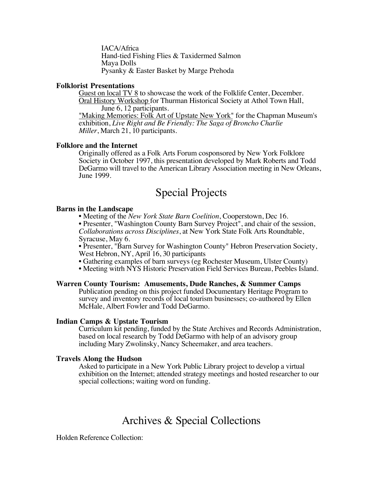IACA/Africa Hand-tied Fishing Flies & Taxidermed Salmon Maya Dolls Pysanky & Easter Basket by Marge Prehoda

## **Folklorist Presentations**

Guest on local TV 8 to showcase the work of the Folklife Center, December. Oral History Workshop for Thurman Historical Society at Athol Town Hall, June 6, 12 participants.

"Making Memories: Folk Art of Upstate New York" for the Chapman Museum's exhibition, *Live Right and Be Friendly: The Saga of Broncho Charlie Miller*, March 21, 10 participants.

## **Folklore and the Internet**

Originally offered as a Folk Arts Forum cosponsored by New York Folklore Society in October 1997, this presentation developed by Mark Roberts and Todd DeGarmo will travel to the American Library Association meeting in New Orleans, June 1999.

# Special Projects

## **Barns in the Landscape**

• Meeting of the *New York State Barn Coelition*, Cooperstown, Dec 16.

• Presenter, "Washington County Barn Survey Project", and chair of the session, *Collaborations across Disciplines*, at New York State Folk Arts Roundtable, Syracuse, May 6.

• Presenter, "Barn Survey for Washington County" Hebron Preservation Society, West Hebron, NY, April 16, 30 participants

• Gathering examples of barn surveys (eg Rochester Museum, Ulster County)

• Meeting witrh NYS Historic Preservation Field Services Bureau, Peebles Island.

## **Warren County Tourism: Amusements, Dude Ranches, & Summer Camps**

Publication pending on this project funded Documentary Heritage Program to survey and inventory records of local tourism businesses; co-authored by Ellen McHale, Albert Fowler and Todd DeGarmo.

## **Indian Camps & Upstate Tourism**

Curriculum kit pending, funded by the State Archives and Records Administration, based on local research by Todd DeGarmo with help of an advisory group including Mary Zwolinsky, Nancy Scheemaker, and area teachers.

## **Travels Along the Hudson**

Asked to participate in a New York Public Library project to develop a virtual exhibition on the Internet; attended strategy meetings and hosted researcher to our special collections; waiting word on funding.

# Archives & Special Collections

Holden Reference Collection: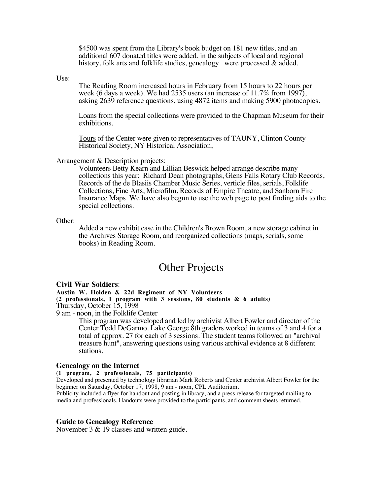\$4500 was spent from the Library's book budget on 181 new titles, and an additional 607 donated titles were added, in the subjects of local and regional history, folk arts and folklife studies, genealogy. were processed & added.

Use:

The Reading Room increased hours in February from 15 hours to 22 hours per week (6 days a week). We had 2535 users (an increase of 11.7% from 1997), asking 2639 reference questions, using 4872 items and making 5900 photocopies.

Loans from the special collections were provided to the Chapman Museum for their exhibitions.

Tours of the Center were given to representatives of TAUNY, Clinton County Historical Society, NY Historical Association,

Arrangement & Description projects:

Volunteers Betty Kearn and Lillian Beswick helped arrange describe many collections this year: Richard Dean photographs, Glens Falls Rotary Club Records, Records of the de Blasiis Chamber Music Series, verticle files, serials, Folklife Collections, Fine Arts, Microfilm, Records of Empire Theatre, and Sanborn Fire Insurance Maps. We have also begun to use the web page to post finding aids to the special collections.

#### Other:

Added a new exhibit case in the Children's Brown Room, a new storage cabinet in the Archives Storage Room, and reorganized collections (maps, serials, some books) in Reading Room.

## Other Projects

#### **Civil War Soldiers**:

**Austin W. Holden & 22d Regiment of NY Volunteers**

**(2 professionals, 1 program with 3 sessions, 80 students & 6 adults)** Thursday, October 15, 1998

9 am - noon, in the Folklife Center

This program was developed and led by archivist Albert Fowler and director of the Center Todd DeGarmo. Lake George 8th graders worked in teams of 3 and 4 for a total of approx. 27 for each of 3 sessions. The student teams followed an "archival treasure hunt", answering questions using various archival evidence at 8 different stations.

#### **Genealogy on the Internet**

**(1 program, 2 professionals, 75 participants)**

Developed and presented by technology librarian Mark Roberts and Center archivist Albert Fowler for the beginner on Saturday, October 17, 1998, 9 am - noon, CPL Auditorium.

Publicity included a flyer for handout and posting in library, and a press release for targeted mailing to media and professionals. Handouts were provided to the participants, and comment sheets returned.

#### **Guide to Genealogy Reference**

November 3 & 19 classes and written guide.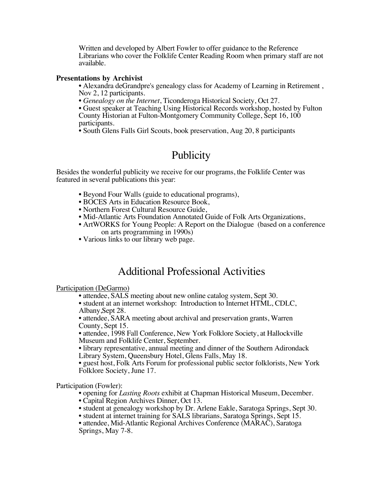Written and developed by Albert Fowler to offer guidance to the Reference Librarians who cover the Folklife Center Reading Room when primary staff are not available.

## **Presentations by Archivist**

• Alexandra deGrandpre's genealogy class for Academy of Learning in Retirement , Nov 2, 12 participants.

• *Genealogy on the Internet*, Ticonderoga Historical Society, Oct 27.

• Guest speaker at Teaching Using Historical Records workshop, hosted by Fulton County Historian at Fulton-Montgomery Community College, Sept 16, 100 participants.

• South Glens Falls Girl Scouts, book preservation, Aug 20, 8 participants

# **Publicity**

Besides the wonderful publicity we receive for our programs, the Folklife Center was featured in several publications this year:

- Beyond Four Walls (guide to educational programs),
- BOCES Arts in Education Resource Book,
- Northern Forest Cultural Resource Guide,
- Mid-Atlantic Arts Foundation Annotated Guide of Folk Arts Organizations,
- ArtWORKS for Young People: A Report on the Dialogue (based on a conference on arts programming in 1990s)
- Various links to our library web page.

## Additional Professional Activities

Participation (DeGarmo)

• attendee, SALS meeting about new online catalog system, Sept 30.

• student at an internet workshop: Introduction to Internet HTML, CDLC, Albany,Sept 28.

• attendee, SARA meeting about archival and preservation grants, Warren County, Sept 15.

• attendee, 1998 Fall Conference, New York Folklore Society, at Hallockville Museum and Folklife Center, September.

• library representative, annual meeting and dinner of the Southern Adirondack Library System, Queensbury Hotel, Glens Falls, May 18.

• guest host, Folk Arts Forum for professional public sector folklorists, New York Folklore Society, June 17.

Participation (Fowler):

• opening for *Lasting Roots* exhibit at Chapman Historical Museum, December.

- Capital Region Archives Dinner, Oct 13.
- student at genealogy workshop by Dr. Arlene Eakle, Saratoga Springs, Sept 30.
- student at internet training for SALS librarians, Saratoga Springs, Sept 15.

• attendee, Mid-Atlantic Regional Archives Conference (MARAC), Saratoga Springs, May 7-8.